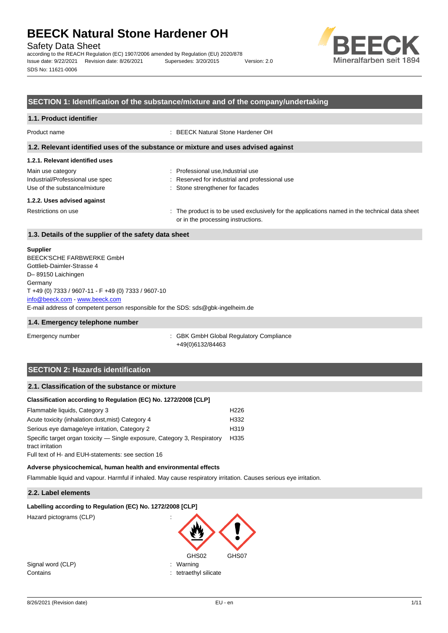Safety Data Sheet

according to the REACH Regulation (EC) 1907/2006 amended by Regulation (EU) 2020/878 Issue date: 9/22/2021 Revision date: 8/26/2021 Supersedes: 3/20/2015 Version: 2.0 SDS No: 11621-0006



### **SECTION 1: Identification of the substance/mixture and of the company/undertaking**

| 1.1. Product identifier                                                            |                                                                                                                                      |  |  |  |
|------------------------------------------------------------------------------------|--------------------------------------------------------------------------------------------------------------------------------------|--|--|--|
| Product name                                                                       | : BEECK Natural Stone Hardener OH                                                                                                    |  |  |  |
| 1.2. Relevant identified uses of the substance or mixture and uses advised against |                                                                                                                                      |  |  |  |
| 1.2.1. Relevant identified uses                                                    |                                                                                                                                      |  |  |  |
| Main use category                                                                  | : Professional use, Industrial use                                                                                                   |  |  |  |
| Industrial/Professional use spec                                                   | : Reserved for industrial and professional use                                                                                       |  |  |  |
| Use of the substance/mixture                                                       | : Stone strengthener for facades                                                                                                     |  |  |  |
| 1.2.2. Uses advised against                                                        |                                                                                                                                      |  |  |  |
| Restrictions on use                                                                | : The product is to be used exclusively for the applications named in the technical data sheet<br>or in the processing instructions. |  |  |  |

#### **1.3. Details of the supplier of the safety data sheet**

#### **Supplier**

E-mail address of competent person responsible for the SDS: sds@gbk-ingelheim.de BEECK'SCHE FARBWERKE GmbH Gottlieb-Daimler-Strasse 4 D– 89150 Laichingen **Germany** T +49 (0) 7333 / 9607-11 - F +49 (0) 7333 / 9607-10 [info@beeck.com](mailto:info@beeck.com) - [www.beeck.com](http://www.beeck.com/)

#### **1.4. Emergency telephone number**

Emergency number **Emergency** number **1996** COMERGING COMPLIANCE: GBK GmbH Global Regulatory Compliance +49(0)6132/84463

## **SECTION 2: Hazards identification**

### **2.1. Classification of the substance or mixture**

#### **Classification according to Regulation (EC) No. 1272/2008 [CLP]**

| Flammable liquids, Category 3                                             | H <sub>226</sub> |
|---------------------------------------------------------------------------|------------------|
| Acute toxicity (inhalation: dust, mist) Category 4                        | H332             |
| Serious eye damage/eye irritation, Category 2                             | H <sub>319</sub> |
| Specific target organ toxicity — Single exposure, Category 3, Respiratory | H335             |
| tract irritation                                                          |                  |
| Full text of H- and FUH-statements: see section 16                        |                  |

#### **Adverse physicochemical, human health and environmental effects**

Flammable liquid and vapour. Harmful if inhaled. May cause respiratory irritation. Causes serious eye irritation.

#### **2.2. Label elements**

#### **Labelling according to Regulation (EC) No. 1272/2008 [CLP]**

Hazard pictograms (CLP) :

GHS02 GHS07 Signal word (CLP)  $\qquad \qquad$ : Warning Contains : tetraethyl silicate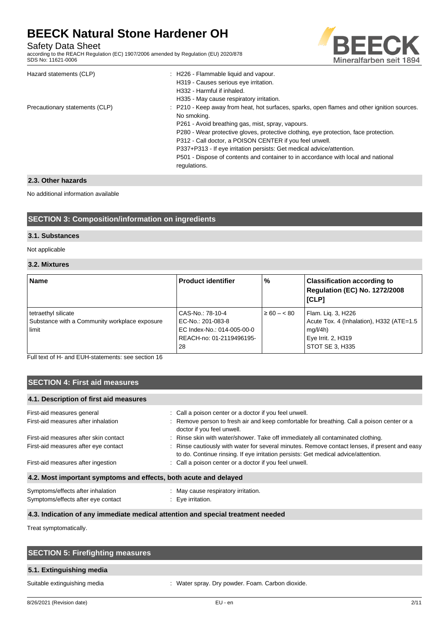Safety Data Sheet

according to the REACH Regulation (EC) 1907/2006 amended by Regulation (EU) 2020/878 SDS No: 11621-0006



| Hazard statements (CLP)        | : H226 - Flammable liquid and vapour.<br>H319 - Causes serious eye irritation.<br>H332 - Harmful if inhaled. |
|--------------------------------|--------------------------------------------------------------------------------------------------------------|
|                                | H335 - May cause respiratory irritation.                                                                     |
| Precautionary statements (CLP) | : P210 - Keep away from heat, hot surfaces, sparks, open flames and other ignition sources.<br>No smoking.   |
|                                | P261 - Avoid breathing gas, mist, spray, vapours.                                                            |
|                                | P280 - Wear protective gloves, protective clothing, eye protection, face protection.                         |
|                                | P312 - Call doctor, a POISON CENTER if you feel unwell.                                                      |
|                                | P337+P313 - If eye irritation persists: Get medical advice/attention.                                        |
|                                | P501 - Dispose of contents and container to in accordance with local and national<br>regulations.            |
|                                |                                                                                                              |

### **2.3. Other hazards**

### No additional information available

## **SECTION 3: Composition/information on ingredients**

#### **3.1. Substances**

#### Not applicable

### **3.2. Mixtures**

| <b>Name</b>                                                                   | <b>Product identifier</b>                                                                             | %                | <b>Classification according to</b><br><b>Regulation (EC) No. 1272/2008</b><br>[CLP]                                 |
|-------------------------------------------------------------------------------|-------------------------------------------------------------------------------------------------------|------------------|---------------------------------------------------------------------------------------------------------------------|
| tetraethyl silicate<br>Substance with a Community workplace exposure<br>limit | CAS-No.: 78-10-4<br>EC-No.: 201-083-8<br>EC Index-No.: 014-005-00-0<br>REACH-no: 01-2119496195-<br>28 | $\geq 60 - < 80$ | Flam. Lig. 3, H226<br>Acute Tox. 4 (Inhalation), H332 (ATE=1.5<br>mq/l/4h)<br>Eye Irrit. 2, H319<br>STOT SE 3, H335 |

Full text of H- and EUH-statements: see section 16

## **SECTION 4: First aid measures**

| 4.1. Description of first aid measures                                  |                                                                                                                                                                                     |
|-------------------------------------------------------------------------|-------------------------------------------------------------------------------------------------------------------------------------------------------------------------------------|
| First-aid measures general                                              | : Call a poison center or a doctor if you feel unwell.                                                                                                                              |
| First-aid measures after inhalation                                     | : Remove person to fresh air and keep comfortable for breathing. Call a poison center or a<br>doctor if you feel unwell.                                                            |
| First-aid measures after skin contact                                   | : Rinse skin with water/shower. Take off immediately all contaminated clothing.                                                                                                     |
| First-aid measures after eye contact                                    | : Rinse cautiously with water for several minutes. Remove contact lenses, if present and easy<br>to do. Continue rinsing. If eye irritation persists: Get medical advice/attention. |
| First-aid measures after ingestion                                      | : Call a poison center or a doctor if you feel unwell.                                                                                                                              |
| 4.2. Most important symptoms and effects, both acute and delayed        |                                                                                                                                                                                     |
| Symptoms/effects after inhalation<br>Symptoms/effects after eye contact | May cause respiratory irritation.<br>: Eve irritation.                                                                                                                              |

#### **4.3. Indication of any immediate medical attention and special treatment needed**

Treat symptomatically.

| <b>SECTION 5: Firefighting measures</b> |                                                  |
|-----------------------------------------|--------------------------------------------------|
| 5.1. Extinguishing media                |                                                  |
| Suitable extinguishing media            | : Water spray. Dry powder. Foam. Carbon dioxide. |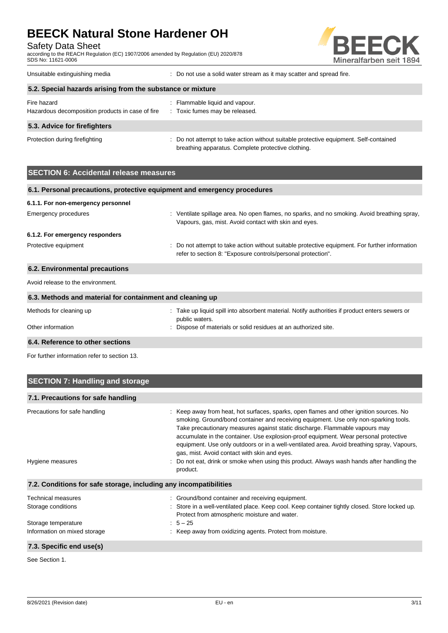Safety Data Sheet

according to the REACH Regulation (EC) 1907/2006 amended by Regulation (EU) 2020/878 SDS No: 11621-0006



Unsuitable extinguishing media : Do not use a solid water stream as it may scatter and spread fire.

| 5.2. Special hazards arising from the substance or mixture |                                                                                                                                             |  |  |  |
|------------------------------------------------------------|---------------------------------------------------------------------------------------------------------------------------------------------|--|--|--|
| Fire hazard                                                | : Flammable liquid and vapour.                                                                                                              |  |  |  |
| Hazardous decomposition products in case of fire           | : Toxic fumes may be released.                                                                                                              |  |  |  |
| 5.3. Advice for firefighters                               |                                                                                                                                             |  |  |  |
| Protection during firefighting                             | : Do not attempt to take action without suitable protective equipment. Self-contained<br>breathing apparatus. Complete protective clothing. |  |  |  |

## **SECTION 6: Accidental release measures**

| 6.1. Personal precautions, protective equipment and emergency procedures |                                                                                                                                                                |
|--------------------------------------------------------------------------|----------------------------------------------------------------------------------------------------------------------------------------------------------------|
| 6.1.1. For non-emergency personnel                                       |                                                                                                                                                                |
| Emergency procedures                                                     | : Ventilate spillage area. No open flames, no sparks, and no smoking. Avoid breathing spray,<br>Vapours, gas, mist. Avoid contact with skin and eyes.          |
| 6.1.2. For emergency responders                                          |                                                                                                                                                                |
| Protective equipment                                                     | : Do not attempt to take action without suitable protective equipment. For further information<br>refer to section 8: "Exposure controls/personal protection". |
| 6.2. Environmental precautions                                           |                                                                                                                                                                |
| Avoid release to the environment.                                        |                                                                                                                                                                |
| 6.3. Methods and material for containment and cleaning up                |                                                                                                                                                                |
| Methods for cleaning up                                                  | : Take up liquid spill into absorbent material. Notify authorities if product enters sewers or<br>public waters.                                               |
| Other information                                                        | Dispose of materials or solid residues at an authorized site.                                                                                                  |
| 6.4. Reference to other sections                                         |                                                                                                                                                                |

For further information refer to section 13.

| <b>SECTION 7: Handling and storage</b>                                                                 |                                                                                                                                                                                                                                                                                                                                                                                                                                                                                                                                                                                                              |
|--------------------------------------------------------------------------------------------------------|--------------------------------------------------------------------------------------------------------------------------------------------------------------------------------------------------------------------------------------------------------------------------------------------------------------------------------------------------------------------------------------------------------------------------------------------------------------------------------------------------------------------------------------------------------------------------------------------------------------|
| 7.1. Precautions for safe handling                                                                     |                                                                                                                                                                                                                                                                                                                                                                                                                                                                                                                                                                                                              |
| Precautions for safe handling<br>Hygiene measures                                                      | : Keep away from heat, hot surfaces, sparks, open flames and other ignition sources. No<br>smoking. Ground/bond container and receiving equipment. Use only non-sparking tools.<br>Take precautionary measures against static discharge. Flammable vapours may<br>accumulate in the container. Use explosion-proof equipment. Wear personal protective<br>equipment. Use only outdoors or in a well-ventilated area. Avoid breathing spray, Vapours,<br>gas, mist. Avoid contact with skin and eyes.<br>Do not eat, drink or smoke when using this product. Always wash hands after handling the<br>product. |
| 7.2. Conditions for safe storage, including any incompatibilities                                      |                                                                                                                                                                                                                                                                                                                                                                                                                                                                                                                                                                                                              |
| <b>Technical measures</b><br>Storage conditions<br>Storage temperature<br>Information on mixed storage | : Ground/bond container and receiving equipment.<br>: Store in a well-ventilated place. Keep cool. Keep container tightly closed. Store locked up.<br>Protect from atmospheric moisture and water.<br>$: 5 - 25$<br>: Keep away from oxidizing agents. Protect from moisture.                                                                                                                                                                                                                                                                                                                                |
| 7.3. Specific end use(s)                                                                               |                                                                                                                                                                                                                                                                                                                                                                                                                                                                                                                                                                                                              |

See Section 1.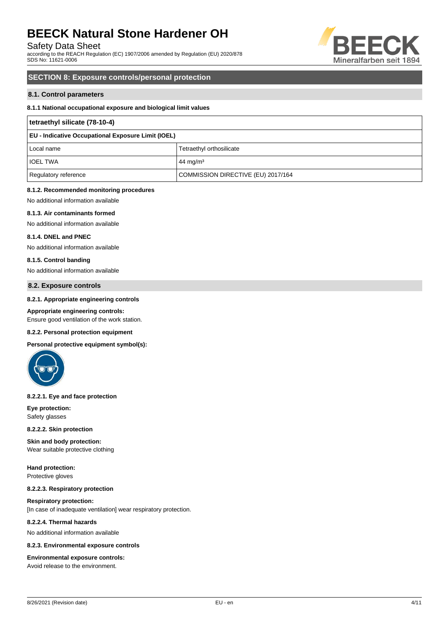Safety Data Sheet

according to the REACH Regulation (EC) 1907/2006 amended by Regulation (EU) 2020/878 SDS No: 11621-0006



### **SECTION 8: Exposure controls/personal protection**

#### **8.1. Control parameters**

#### **8.1.1 National occupational exposure and biological limit values**

| tetraethyl silicate (78-10-4)                             |                                    |  |  |
|-----------------------------------------------------------|------------------------------------|--|--|
| <b>EU - Indicative Occupational Exposure Limit (IOEL)</b> |                                    |  |  |
| Local name                                                | Tetraethyl orthosilicate           |  |  |
| <b>IOEL TWA</b>                                           | 44 mg/m <sup>3</sup>               |  |  |
| Regulatory reference                                      | COMMISSION DIRECTIVE (EU) 2017/164 |  |  |

#### **8.1.2. Recommended monitoring procedures**

No additional information available

#### **8.1.3. Air contaminants formed**

No additional information available

#### **8.1.4. DNEL and PNEC**

No additional information available

#### **8.1.5. Control banding**

No additional information available

#### **8.2. Exposure controls**

#### **8.2.1. Appropriate engineering controls**

#### **Appropriate engineering controls:**

Ensure good ventilation of the work station.

#### **8.2.2. Personal protection equipment**

**Personal protective equipment symbol(s):**



#### **8.2.2.1. Eye and face protection**

**Eye protection:** Safety glasses

#### **8.2.2.2. Skin protection**

**Skin and body protection:** Wear suitable protective clothing

**Hand protection:** Protective gloves

#### **8.2.2.3. Respiratory protection**

**Respiratory protection:** [In case of inadequate ventilation] wear respiratory protection.

#### **8.2.2.4. Thermal hazards**

No additional information available

#### **8.2.3. Environmental exposure controls**

#### **Environmental exposure controls:**

Avoid release to the environment.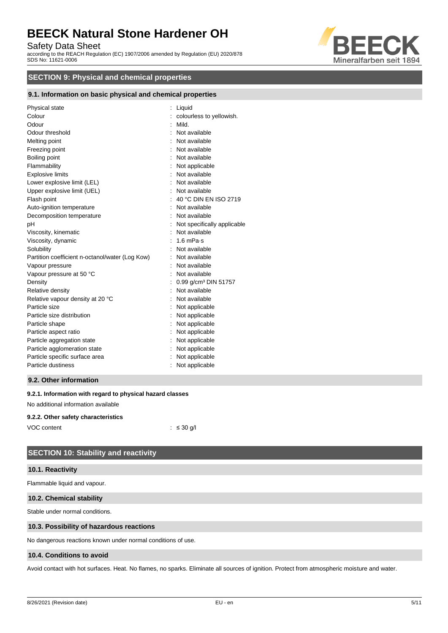Safety Data Sheet

according to the REACH Regulation (EC) 1907/2006 amended by Regulation (EU) 2020/878 SDS No: 11621-0006



## **SECTION 9: Physical and chemical properties**

#### **9.1. Information on basic physical and chemical properties**

| Physical state                                  | Liquid                           |
|-------------------------------------------------|----------------------------------|
| Colour                                          | colourless to yellowish.         |
| Odour                                           | Mild.                            |
| Odour threshold                                 | Not available                    |
| Melting point                                   | Not available                    |
| Freezing point                                  | Not available                    |
| Boiling point                                   | Not available                    |
| Flammability                                    | Not applicable                   |
| <b>Explosive limits</b>                         | Not available                    |
| Lower explosive limit (LEL)                     | Not available                    |
| Upper explosive limit (UEL)                     | Not available                    |
| Flash point                                     | 40 °C DIN EN ISO 2719            |
| Auto-ignition temperature                       | Not available                    |
| Decomposition temperature                       | Not available                    |
| pH                                              | Not specifically applicable      |
| Viscosity, kinematic                            | Not available                    |
| Viscosity, dynamic                              | 1.6 mPa $\cdot$ s                |
| Solubility                                      | Not available                    |
| Partition coefficient n-octanol/water (Log Kow) | Not available                    |
| Vapour pressure                                 | Not available                    |
| Vapour pressure at 50 °C                        | Not available                    |
| Density                                         | 0.99 g/cm <sup>3</sup> DIN 51757 |
| Relative density                                | Not available                    |
| Relative vapour density at 20 °C                | Not available                    |
| Particle size                                   | Not applicable                   |
| Particle size distribution                      | Not applicable                   |
| Particle shape                                  | Not applicable                   |
| Particle aspect ratio                           | Not applicable                   |
| Particle aggregation state                      | Not applicable                   |
| Particle agglomeration state                    | Not applicable                   |
| Particle specific surface area                  | Not applicable                   |
| Particle dustiness                              | Not applicable                   |
|                                                 |                                  |

### **9.2. Other information**

#### **9.2.1. Information with regard to physical hazard classes**

No additional information available

#### **9.2.2. Other safety characteristics**

| VOC content |  |  | $:$ $\leq$ 30 g/l |
|-------------|--|--|-------------------|
|             |  |  |                   |

## **SECTION 10: Stability and reactivity**

#### **10.1. Reactivity**

Flammable liquid and vapour.

#### **10.2. Chemical stability**

Stable under normal conditions.

#### **10.3. Possibility of hazardous reactions**

No dangerous reactions known under normal conditions of use.

#### **10.4. Conditions to avoid**

Avoid contact with hot surfaces. Heat. No flames, no sparks. Eliminate all sources of ignition. Protect from atmospheric moisture and water.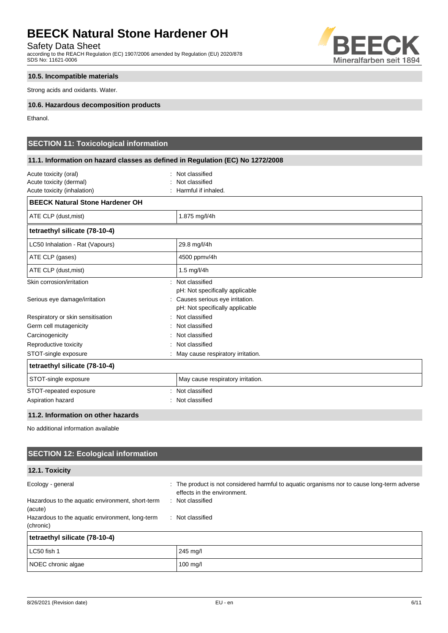Safety Data Sheet

according to the REACH Regulation (EC) 1907/2006 amended by Regulation (EU) 2020/878 SDS No: 11621-0006

#### **10.5. Incompatible materials**

Strong acids and oxidants. Water.

#### **10.6. Hazardous decomposition products**

Ethanol.

## **SECTION 11: Toxicological information**

## **11.1. Information on hazard classes as defined in Regulation (EC) No 1272/2008**

| Acute toxicity (oral)                  |  | Not classified                      |  |
|----------------------------------------|--|-------------------------------------|--|
| Acute toxicity (dermal)                |  | Not classified                      |  |
| Acute toxicity (inhalation)            |  | Harmful if inhaled.                 |  |
| <b>BEECK Natural Stone Hardener OH</b> |  |                                     |  |
| ATE CLP (dust, mist)                   |  | 1.875 mg/l/4h                       |  |
| tetraethyl silicate (78-10-4)          |  |                                     |  |
| LC50 Inhalation - Rat (Vapours)        |  | 29.8 mg/l/4h                        |  |
| ATE CLP (gases)                        |  | 4500 ppmv/4h                        |  |
| ATE CLP (dust, mist)                   |  | 1.5 $mg/l/4h$                       |  |
| Skin corrosion/irritation              |  | : Not classified                    |  |
|                                        |  | pH: Not specifically applicable     |  |
| Serious eye damage/irritation          |  | : Causes serious eye irritation.    |  |
|                                        |  | pH: Not specifically applicable     |  |
| Respiratory or skin sensitisation      |  | : Not classified                    |  |
| Germ cell mutagenicity                 |  | Not classified                      |  |
| Carcinogenicity                        |  | Not classified                      |  |
| Reproductive toxicity                  |  | : Not classified                    |  |
| STOT-single exposure                   |  | : May cause respiratory irritation. |  |
| tetraethyl silicate (78-10-4)          |  |                                     |  |
| STOT-single exposure                   |  | May cause respiratory irritation.   |  |
| STOT-repeated exposure                 |  | : Not classified                    |  |
| Aspiration hazard                      |  | Not classified                      |  |

### **11.2. Information on other hazards**

No additional information available

## **SECTION 12: Ecological information**

#### **12.1. Toxicity**

| Ecology - general                                            | : The product is not considered harmful to aquatic organisms nor to cause long-term adverse<br>effects in the environment. |
|--------------------------------------------------------------|----------------------------------------------------------------------------------------------------------------------------|
| Hazardous to the aquatic environment, short-term<br>(acute)  | : Not classified                                                                                                           |
| Hazardous to the aquatic environment, long-term<br>(chronic) | : Not classified                                                                                                           |
| tetraethyl silicate (78-10-4)                                |                                                                                                                            |
| LC50 fish 1                                                  | 245 mg/l                                                                                                                   |
| NOEC chronic algae                                           | $100$ mg/l                                                                                                                 |

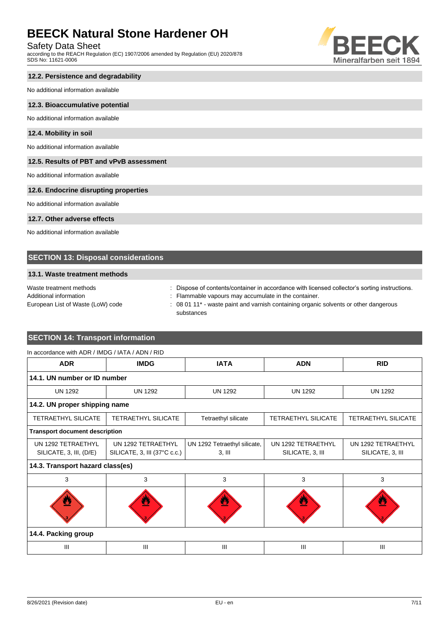## Safety Data Sheet

according to the REACH Regulation (EC) 1907/2006 amended by Regulation (EU) 2020/878 SDS No: 11621-0006



## **12.2. Persistence and degradability**

No additional information available

#### **12.3. Bioaccumulative potential**

No additional information available

#### **12.4. Mobility in soil**

No additional information available

#### **12.5. Results of PBT and vPvB assessment**

No additional information available

### **12.6. Endocrine disrupting properties**

No additional information available

### **12.7. Other adverse effects**

No additional information available

### **SECTION 13: Disposal considerations**

#### **13.1. Waste treatment methods**

| Waste treatment methods           | Dispose of contents/container in accordance with licensed collector's sorting instructions.      |
|-----------------------------------|--------------------------------------------------------------------------------------------------|
| Additional information            | : Flammable vapours may accumulate in the container.                                             |
| European List of Waste (LoW) code | 08 01 11* - waste paint and varnish containing organic solvents or other dangerous<br>substances |

## **SECTION 14: Transport information**

| In accordance with ADR / IMDG / IATA / ADN / RID |                                                    |                                          |                                        |                                        |
|--------------------------------------------------|----------------------------------------------------|------------------------------------------|----------------------------------------|----------------------------------------|
| <b>ADR</b>                                       | <b>IMDG</b>                                        | <b>IATA</b>                              | <b>ADN</b>                             | <b>RID</b>                             |
| 14.1. UN number or ID number                     |                                                    |                                          |                                        |                                        |
| <b>UN 1292</b>                                   | <b>UN 1292</b>                                     | <b>UN 1292</b>                           | <b>UN 1292</b>                         | <b>UN 1292</b>                         |
| 14.2. UN proper shipping name                    |                                                    |                                          |                                        |                                        |
| <b>TETRAETHYL SILICATE</b>                       | <b>TETRAETHYL SILICATE</b>                         | Tetraethyl silicate                      | <b>TETRAETHYL SILICATE</b>             | TETRAETHYL SILICATE                    |
| <b>Transport document description</b>            |                                                    |                                          |                                        |                                        |
| UN 1292 TETRAETHYL<br>SILICATE, 3, III, (D/E)    | UN 1292 TETRAETHYL<br>SILICATE, 3, III (37°C c.c.) | UN 1292 Tetraethyl silicate,<br>$3,$ III | UN 1292 TETRAETHYL<br>SILICATE, 3, III | UN 1292 TETRAETHYL<br>SILICATE, 3, III |
| 14.3. Transport hazard class(es)                 |                                                    |                                          |                                        |                                        |
| 3                                                | 3                                                  | 3                                        | 3                                      | 3                                      |
|                                                  | Ø                                                  |                                          | 전                                      |                                        |
| 14.4. Packing group                              |                                                    |                                          |                                        |                                        |
| $\mathbf{III}$                                   | III                                                | III                                      | III                                    | III                                    |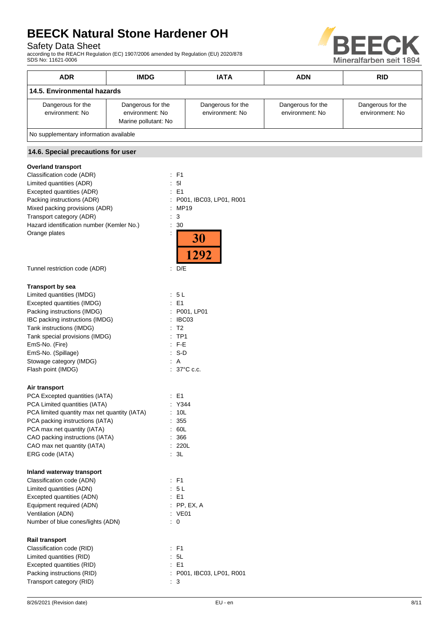## Safety Data Sheet

according to the REACH Regulation (EC) 1907/2006 amended by Regulation (EU) 2020/878 SDS No: 11621-0006



| <b>ADR</b>                             | <b>IMDG</b>                                                  | <b>IATA</b>                          | <b>ADN</b>                           | <b>RID</b>                           |  |
|----------------------------------------|--------------------------------------------------------------|--------------------------------------|--------------------------------------|--------------------------------------|--|
|                                        | 14.5. Environmental hazards                                  |                                      |                                      |                                      |  |
| Dangerous for the<br>environment: No   | Dangerous for the<br>environment: No<br>Marine pollutant: No | Dangerous for the<br>environment: No | Dangerous for the<br>environment: No | Dangerous for the<br>environment: No |  |
| No supplementary information available |                                                              |                                      |                                      |                                      |  |
| 14.6. Special precautions for user     |                                                              |                                      |                                      |                                      |  |

## **Overland transport**

| <b>Transport by sea</b><br>Limited quantities (IMDG)<br>: 5 L<br>Excepted quantities (IMDG)<br>: E1<br>Packing instructions (IMDG)<br>: P001, LP01<br>IBC packing instructions (IMDG)<br>: IBC03<br>Tank instructions (IMDG)<br>T <sub>2</sub><br>Tank special provisions (IMDG)<br>$:$ TP1<br>$: F-E$<br>EmS-No. (Fire)<br>EmS-No. (Spillage)<br>: S-D<br>Stowage category (IMDG)<br>: A<br>Flash point (IMDG)<br>$: 37^{\circ}$ C c.c.<br>Air transport<br>PCA Excepted quantities (IATA)<br>: E1<br>PCA Limited quantities (IATA)<br>Y344<br>PCA limited quantity max net quantity (IATA)<br>10L<br>PCA packing instructions (IATA)<br>355<br>PCA max net quantity (IATA)<br>60L<br>CAO packing instructions (IATA)<br>366<br>CAO max net quantity (IATA)<br>: 220L<br>ERG code (IATA)<br>: 3L<br>Inland waterway transport<br>Classification code (ADN)<br>: F1<br>Limited quantities (ADN)<br>: 5L<br>Excepted quantities (ADN)<br>E1<br>Equipment required (ADN)<br>PP, EX, A<br>Ventilation (ADN)<br><b>VE01</b><br>Number of blue cones/lights (ADN)<br>0<br>Rail transport<br>Classification code (RID)<br>: F1<br>Limited quantities (RID)<br>5L<br>÷.<br>E1<br>Excepted quantities (RID)<br>Packing instructions (RID)<br>Transport category (RID)<br>÷.<br>3 | Classification code (ADR)<br>Limited quantities (ADR)<br>Excepted quantities (ADR)<br>Packing instructions (ADR)<br>Mixed packing provisions (ADR)<br>Transport category (ADR)<br>Hazard identification number (Kemler No.)<br>Orange plates | : F1<br>: 51<br>$E = 1$<br>: P001, IBC03, LP01, R001<br><b>MP19</b><br>÷.<br>3<br>÷.<br>30<br>İ<br>$\ddot{\phantom{a}}$<br><b>30</b><br>1292 |
|--------------------------------------------------------------------------------------------------------------------------------------------------------------------------------------------------------------------------------------------------------------------------------------------------------------------------------------------------------------------------------------------------------------------------------------------------------------------------------------------------------------------------------------------------------------------------------------------------------------------------------------------------------------------------------------------------------------------------------------------------------------------------------------------------------------------------------------------------------------------------------------------------------------------------------------------------------------------------------------------------------------------------------------------------------------------------------------------------------------------------------------------------------------------------------------------------------------------------------------------------------------------------|----------------------------------------------------------------------------------------------------------------------------------------------------------------------------------------------------------------------------------------------|----------------------------------------------------------------------------------------------------------------------------------------------|
|                                                                                                                                                                                                                                                                                                                                                                                                                                                                                                                                                                                                                                                                                                                                                                                                                                                                                                                                                                                                                                                                                                                                                                                                                                                                          | Tunnel restriction code (ADR)                                                                                                                                                                                                                | D/E<br>t                                                                                                                                     |
|                                                                                                                                                                                                                                                                                                                                                                                                                                                                                                                                                                                                                                                                                                                                                                                                                                                                                                                                                                                                                                                                                                                                                                                                                                                                          |                                                                                                                                                                                                                                              |                                                                                                                                              |
|                                                                                                                                                                                                                                                                                                                                                                                                                                                                                                                                                                                                                                                                                                                                                                                                                                                                                                                                                                                                                                                                                                                                                                                                                                                                          |                                                                                                                                                                                                                                              |                                                                                                                                              |
|                                                                                                                                                                                                                                                                                                                                                                                                                                                                                                                                                                                                                                                                                                                                                                                                                                                                                                                                                                                                                                                                                                                                                                                                                                                                          |                                                                                                                                                                                                                                              |                                                                                                                                              |
|                                                                                                                                                                                                                                                                                                                                                                                                                                                                                                                                                                                                                                                                                                                                                                                                                                                                                                                                                                                                                                                                                                                                                                                                                                                                          |                                                                                                                                                                                                                                              | : P001, IBC03, LP01, R001                                                                                                                    |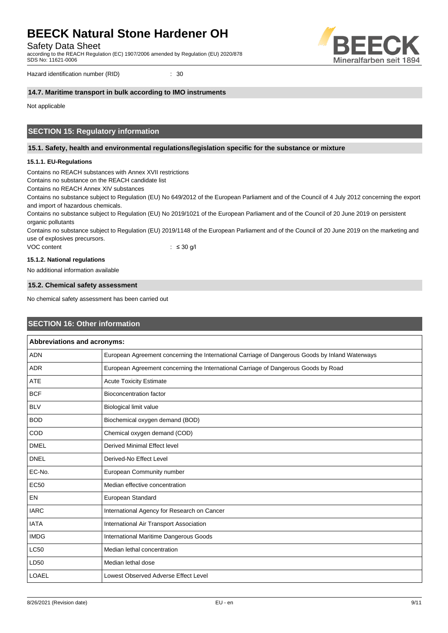Safety Data Sheet

according to the REACH Regulation (EC) 1907/2006 amended by Regulation (EU) 2020/878 SDS No: 11621-0006



Hazard identification number (RID)  $\qquad \qquad$  : 30

#### **14.7. Maritime transport in bulk according to IMO instruments**

Not applicable

### **SECTION 15: Regulatory information**

#### **15.1. Safety, health and environmental regulations/legislation specific for the substance or mixture**

#### **15.1.1. EU-Regulations**

Contains no REACH substances with Annex XVII restrictions

Contains no substance on the REACH candidate list

Contains no REACH Annex XIV substances

Contains no substance subject to Regulation (EU) No 649/2012 of the European Parliament and of the Council of 4 July 2012 concerning the export and import of hazardous chemicals.

Contains no substance subject to Regulation (EU) No 2019/1021 of the European Parliament and of the Council of 20 June 2019 on persistent organic pollutants

Contains no substance subject to Regulation (EU) 2019/1148 of the European Parliament and of the Council of 20 June 2019 on the marketing and use of explosives precursors.

VOC content  $\leq$  30 g/l

#### **15.1.2. National regulations**

No additional information available

#### **15.2. Chemical safety assessment**

No chemical safety assessment has been carried out

### **SECTION 16: Other information**

| Abbreviations and acronyms: |                                                                                                 |  |
|-----------------------------|-------------------------------------------------------------------------------------------------|--|
| <b>ADN</b>                  | European Agreement concerning the International Carriage of Dangerous Goods by Inland Waterways |  |
| <b>ADR</b>                  | European Agreement concerning the International Carriage of Dangerous Goods by Road             |  |
| <b>ATE</b>                  | <b>Acute Toxicity Estimate</b>                                                                  |  |
| <b>BCF</b>                  | <b>Bioconcentration factor</b>                                                                  |  |
| <b>BLV</b>                  | <b>Biological limit value</b>                                                                   |  |
| <b>BOD</b>                  | Biochemical oxygen demand (BOD)                                                                 |  |
| COD                         | Chemical oxygen demand (COD)                                                                    |  |
| <b>DMEL</b>                 | Derived Minimal Effect level                                                                    |  |
| <b>DNEL</b>                 | Derived-No Effect Level                                                                         |  |
| EC-No.                      | European Community number                                                                       |  |
| <b>EC50</b>                 | Median effective concentration                                                                  |  |
| <b>EN</b>                   | European Standard                                                                               |  |
| <b>IARC</b>                 | International Agency for Research on Cancer                                                     |  |
| <b>IATA</b>                 | International Air Transport Association                                                         |  |
| <b>IMDG</b>                 | International Maritime Dangerous Goods                                                          |  |
| <b>LC50</b>                 | Median lethal concentration                                                                     |  |
| LD50                        | Median lethal dose                                                                              |  |
| <b>LOAEL</b>                | Lowest Observed Adverse Effect Level                                                            |  |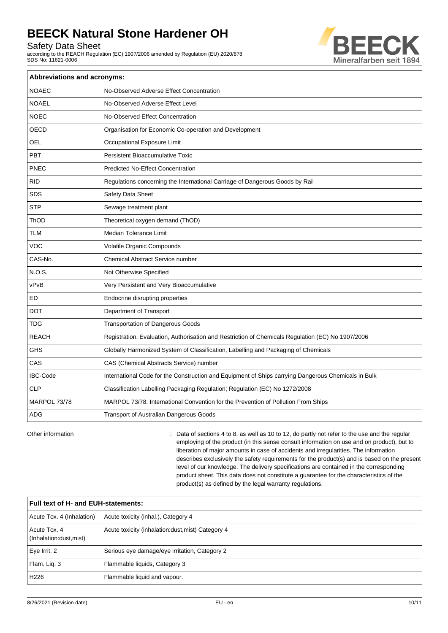Safety Data Sheet

according to the REACH Regulation (EC) 1907/2006 amended by Regulation (EU) 2020/878 SDS No: 11621-0006



| Abbreviations and acronyms: |                                                                                                     |  |  |
|-----------------------------|-----------------------------------------------------------------------------------------------------|--|--|
| <b>NOAEC</b>                | No-Observed Adverse Effect Concentration                                                            |  |  |
| <b>NOAEL</b>                | No-Observed Adverse Effect Level                                                                    |  |  |
| <b>NOEC</b>                 | No-Observed Effect Concentration                                                                    |  |  |
| OECD                        | Organisation for Economic Co-operation and Development                                              |  |  |
| <b>OEL</b>                  | Occupational Exposure Limit                                                                         |  |  |
| PBT                         | Persistent Bioaccumulative Toxic                                                                    |  |  |
| PNEC                        | <b>Predicted No-Effect Concentration</b>                                                            |  |  |
| <b>RID</b>                  | Regulations concerning the International Carriage of Dangerous Goods by Rail                        |  |  |
| <b>SDS</b>                  | Safety Data Sheet                                                                                   |  |  |
| <b>STP</b>                  | Sewage treatment plant                                                                              |  |  |
| ThOD                        | Theoretical oxygen demand (ThOD)                                                                    |  |  |
| <b>TLM</b>                  | <b>Median Tolerance Limit</b>                                                                       |  |  |
| <b>VOC</b>                  | Volatile Organic Compounds                                                                          |  |  |
| CAS-No.                     | <b>Chemical Abstract Service number</b>                                                             |  |  |
| N.O.S.                      | Not Otherwise Specified                                                                             |  |  |
| vPvB                        | Very Persistent and Very Bioaccumulative                                                            |  |  |
| ED                          | Endocrine disrupting properties                                                                     |  |  |
| <b>DOT</b>                  | Department of Transport                                                                             |  |  |
| <b>TDG</b>                  | <b>Transportation of Dangerous Goods</b>                                                            |  |  |
| <b>REACH</b>                | Registration, Evaluation, Authorisation and Restriction of Chemicals Regulation (EC) No 1907/2006   |  |  |
| GHS                         | Globally Harmonized System of Classification, Labelling and Packaging of Chemicals                  |  |  |
| CAS                         | CAS (Chemical Abstracts Service) number                                                             |  |  |
| <b>IBC-Code</b>             | International Code for the Construction and Equipment of Ships carrying Dangerous Chemicals in Bulk |  |  |
| <b>CLP</b>                  | Classification Labelling Packaging Regulation; Regulation (EC) No 1272/2008                         |  |  |
| MARPOL 73/78                | MARPOL 73/78: International Convention for the Prevention of Pollution From Ships                   |  |  |
| <b>ADG</b>                  | Transport of Australian Dangerous Goods                                                             |  |  |

Other information **can be regular** : Data of sections 4 to 8, as well as 10 to 12, do partly not refer to the use and the regular employing of the product (in this sense consult information on use and on product), but to liberation of major amounts in case of accidents and irregularities. The information describes exclusively the safety requirements for the product(s) and is based on the present level of our knowledge. The delivery specifications are contained in the corresponding product sheet. This data does not constitute a guarantee for the characteristics of the product(s) as defined by the legal warranty regulations.

| Full text of H- and EUH-statements:     |                                                   |  |
|-----------------------------------------|---------------------------------------------------|--|
| Acute Tox. 4 (Inhalation)               | Acute toxicity (inhal.), Category 4               |  |
| Acute Tox, 4<br>(Inhalation:dust, mist) | Acute toxicity (inhalation:dust, mist) Category 4 |  |
| Eye Irrit. 2                            | Serious eye damage/eye irritation, Category 2     |  |
| Flam. Lig. 3                            | Flammable liquids, Category 3                     |  |
| H <sub>226</sub>                        | Flammable liquid and vapour.                      |  |